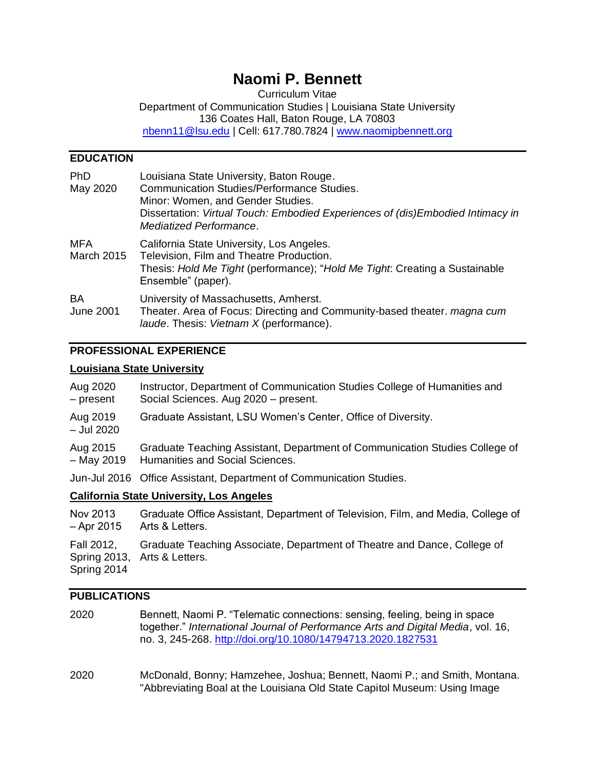# **Naomi P. Bennett**

Curriculum Vitae Department of Communication Studies | Louisiana State University 136 Coates Hall, Baton Rouge, LA 70803 [nbenn11@lsu.edu](mailto:nbenn11@lsu.edu) | Cell: 617.780.7824 | [www.naomipbennett.org](http://www.naomipbennett.org/)

# **EDUCATION**

| <b>PhD</b><br>May 2020        | Louisiana State University, Baton Rouge.<br><b>Communication Studies/Performance Studies.</b><br>Minor: Women, and Gender Studies.<br>Dissertation: Virtual Touch: Embodied Experiences of (dis)Embodied Intimacy in<br>Mediatized Performance. |
|-------------------------------|-------------------------------------------------------------------------------------------------------------------------------------------------------------------------------------------------------------------------------------------------|
| MFA<br><b>March 2015</b>      | California State University, Los Angeles.<br>Television, Film and Theatre Production.<br>Thesis: Hold Me Tight (performance); "Hold Me Tight: Creating a Sustainable<br>Ensemble" (paper).                                                      |
| <b>BA</b><br><b>June 2001</b> | University of Massachusetts, Amherst.<br>Theater. Area of Focus: Directing and Community-based theater. magna cum<br>laude. Thesis: Vietnam X (performance).                                                                                    |

### **PROFESSIONAL EXPERIENCE**

#### **Louisiana State University**

| Aug 2020<br>- present                   | Instructor, Department of Communication Studies College of Humanities and<br>Social Sciences. Aug 2020 - present. |
|-----------------------------------------|-------------------------------------------------------------------------------------------------------------------|
| Aug 2019<br>- Jul 2020                  | Graduate Assistant, LSU Women's Center, Office of Diversity.                                                      |
| Aug 2015<br>$-$ May 2019                | Graduate Teaching Assistant, Department of Communication Studies College of<br>Humanities and Social Sciences.    |
|                                         | Jun-Jul 2016 Office Assistant, Department of Communication Studies.                                               |
| California State University Los Angoles |                                                                                                                   |

#### **California State University, Los Angeles**

| Nov 2013    | Graduate Office Assistant, Department of Television, Film, and Media, College of |
|-------------|----------------------------------------------------------------------------------|
| – Apr 2015  | Arts & Letters.                                                                  |
| Fall 2012,  | Graduate Teaching Associate, Department of Theatre and Dance, College of         |
| Spring 2014 | Spring 2013, Arts & Letters.                                                     |

# **PUBLICATIONS**

- 2020 Bennett, Naomi P. "Telematic connections: sensing, feeling, being in space together." *International Journal of Performance Arts and Digital Media*, vol. 16, no. 3, 245-268. <http://doi.org/10.1080/14794713.2020.1827531>
- 2020 McDonald, Bonny; Hamzehee, Joshua; Bennett, Naomi P.; and Smith, Montana. "Abbreviating Boal at the Louisiana Old State Capitol Museum: Using Image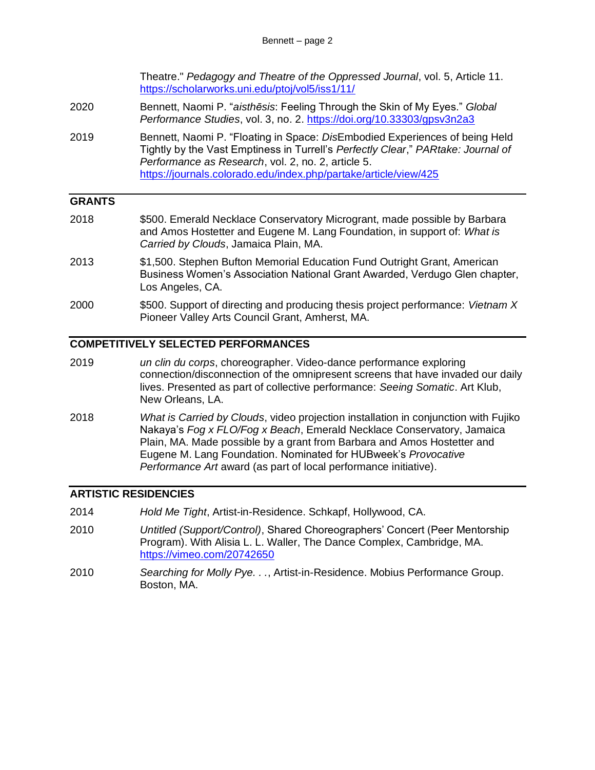Theatre." *Pedagogy and Theatre of the Oppressed Journal*, vol. 5, Article 11. <https://scholarworks.uni.edu/ptoj/vol5/iss1/11/>

- 2020 Bennett, Naomi P. "*aisthēsis*: Feeling Through the Skin of My Eyes." *Global Performance Studies*, vol. 3, no. 2. <https://doi.org/10.33303/gpsv3n2a3>
- 2019 Bennett, Naomi P. "Floating in Space: *Dis*Embodied Experiences of being Held Tightly by the Vast Emptiness in Turrell's *Perfectly Clear*," *PARtake: Journal of Performance as Research*, vol. 2, no. 2, article 5. <https://journals.colorado.edu/index.php/partake/article/view/425>

### **GRANTS**

- 2018 \$500. Emerald Necklace Conservatory Microgrant, made possible by Barbara and Amos Hostetter and Eugene M. Lang Foundation, in support of: *What is Carried by Clouds*, Jamaica Plain, MA.
- 2013 \$1,500. Stephen Bufton Memorial Education Fund Outright Grant, American Business Women's Association National Grant Awarded, Verdugo Glen chapter, Los Angeles, CA.
- 2000 \$500. Support of directing and producing thesis project performance: *Vietnam X* Pioneer Valley Arts Council Grant, Amherst, MA.

## **COMPETITIVELY SELECTED PERFORMANCES**

- 2019 *un clin du corps*, choreographer. Video-dance performance exploring connection/disconnection of the omnipresent screens that have invaded our daily lives. Presented as part of collective performance: *Seeing Somatic*. Art Klub, New Orleans, LA.
- 2018 *What is Carried by Clouds*, video projection installation in conjunction with Fujiko Nakaya's *Fog x FLO/Fog x Beach*, Emerald Necklace Conservatory, Jamaica Plain, MA. Made possible by a grant from Barbara and Amos Hostetter and Eugene M. Lang Foundation. Nominated for HUBweek's *Provocative Performance Art* award (as part of local performance initiative).

### **ARTISTIC RESIDENCIES**

- 2014 *Hold Me Tight*, Artist-in-Residence. Schkapf, Hollywood, CA.
- 2010 *Untitled (Support/Control)*, Shared Choreographers' Concert (Peer Mentorship Program). With Alisia L. L. Waller, The Dance Complex, Cambridge, MA. <https://vimeo.com/20742650>
- 2010 *Searching for Molly Pye. . .*, Artist-in-Residence. Mobius Performance Group. Boston, MA.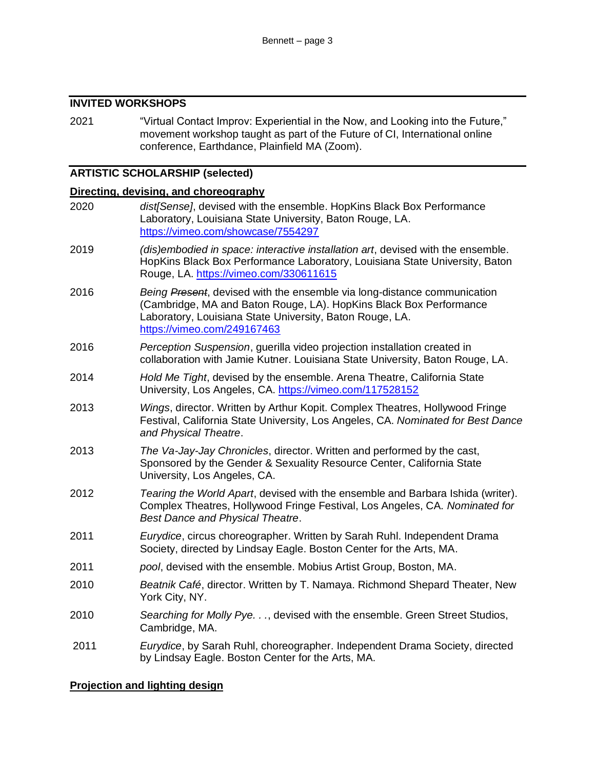# **INVITED WORKSHOPS**

2021 "Virtual Contact Improv: Experiential in the Now, and Looking into the Future," movement workshop taught as part of the Future of CI, International online conference, Earthdance, Plainfield MA (Zoom).

# **ARTISTIC SCHOLARSHIP (selected)**

# **Directing, devising, and choreography**

| 2020 | dist[Sense], devised with the ensemble. HopKins Black Box Performance<br>Laboratory, Louisiana State University, Baton Rouge, LA.<br>https://vimeo.com/showcase/7554297                                                                   |
|------|-------------------------------------------------------------------------------------------------------------------------------------------------------------------------------------------------------------------------------------------|
| 2019 | (dis)embodied in space: interactive installation art, devised with the ensemble.<br>HopKins Black Box Performance Laboratory, Louisiana State University, Baton<br>Rouge, LA. https://vimeo.com/330611615                                 |
| 2016 | Being Present, devised with the ensemble via long-distance communication<br>(Cambridge, MA and Baton Rouge, LA). HopKins Black Box Performance<br>Laboratory, Louisiana State University, Baton Rouge, LA.<br>https://vimeo.com/249167463 |
| 2016 | Perception Suspension, guerilla video projection installation created in<br>collaboration with Jamie Kutner. Louisiana State University, Baton Rouge, LA.                                                                                 |
| 2014 | Hold Me Tight, devised by the ensemble. Arena Theatre, California State<br>University, Los Angeles, CA. https://vimeo.com/117528152                                                                                                       |
| 2013 | Wings, director. Written by Arthur Kopit. Complex Theatres, Hollywood Fringe<br>Festival, California State University, Los Angeles, CA. Nominated for Best Dance<br>and Physical Theatre.                                                 |
| 2013 | The Va-Jay-Jay Chronicles, director. Written and performed by the cast,<br>Sponsored by the Gender & Sexuality Resource Center, California State<br>University, Los Angeles, CA.                                                          |
| 2012 | Tearing the World Apart, devised with the ensemble and Barbara Ishida (writer).<br>Complex Theatres, Hollywood Fringe Festival, Los Angeles, CA. Nominated for<br><b>Best Dance and Physical Theatre.</b>                                 |
| 2011 | Eurydice, circus choreographer. Written by Sarah Ruhl. Independent Drama<br>Society, directed by Lindsay Eagle. Boston Center for the Arts, MA.                                                                                           |
| 2011 | pool, devised with the ensemble. Mobius Artist Group, Boston, MA.                                                                                                                                                                         |
| 2010 | Beatnik Café, director. Written by T. Namaya. Richmond Shepard Theater, New<br>York City, NY.                                                                                                                                             |
| 2010 | Searching for Molly Pye., devised with the ensemble. Green Street Studios,<br>Cambridge, MA.                                                                                                                                              |
| 2011 | Eurydice, by Sarah Ruhl, choreographer. Independent Drama Society, directed<br>by Lindsay Eagle. Boston Center for the Arts, MA.                                                                                                          |

# **Projection and lighting design**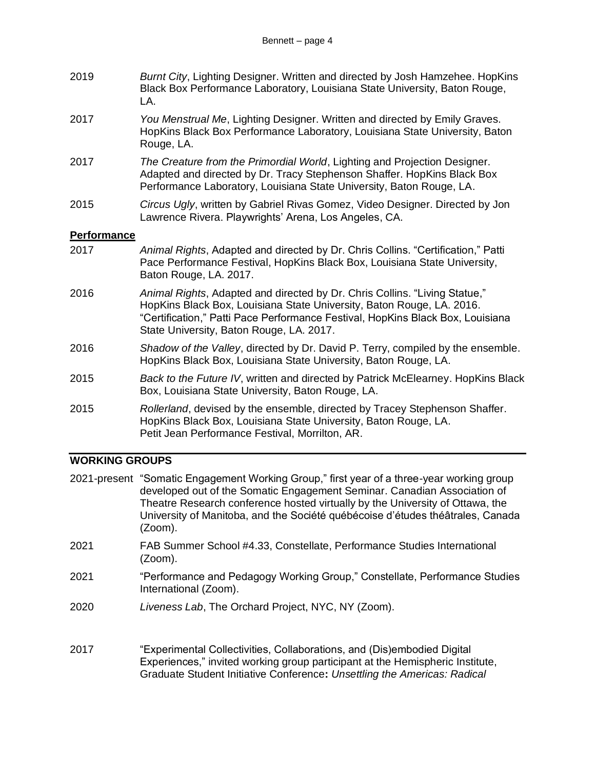| 2019 | Burnt City, Lighting Designer. Written and directed by Josh Hamzehee. HopKins |
|------|-------------------------------------------------------------------------------|
|      | Black Box Performance Laboratory, Louisiana State University, Baton Rouge,    |
|      | LA.                                                                           |

- 2017 *You Menstrual Me*, Lighting Designer. Written and directed by Emily Graves. HopKins Black Box Performance Laboratory, Louisiana State University, Baton Rouge, LA.
- 2017 *The Creature from the Primordial World*, Lighting and Projection Designer. Adapted and directed by Dr. Tracy Stephenson Shaffer. HopKins Black Box Performance Laboratory, Louisiana State University, Baton Rouge, LA.
- 2015 *Circus Ugly*, written by Gabriel Rivas Gomez, Video Designer. Directed by Jon Lawrence Rivera. Playwrights' Arena, Los Angeles, CA.

# **Performance**

- 2017 *Animal Rights*, Adapted and directed by Dr. Chris Collins. "Certification," Patti Pace Performance Festival, HopKins Black Box, Louisiana State University, Baton Rouge, LA. 2017.
- 2016 *Animal Rights*, Adapted and directed by Dr. Chris Collins. "Living Statue," HopKins Black Box, Louisiana State University, Baton Rouge, LA. 2016. "Certification," Patti Pace Performance Festival, HopKins Black Box, Louisiana State University, Baton Rouge, LA. 2017.
- 2016 *Shadow of the Valley*, directed by Dr. David P. Terry, compiled by the ensemble. HopKins Black Box, Louisiana State University, Baton Rouge, LA.
- 2015 *Back to the Future IV*, written and directed by Patrick McElearney. HopKins Black Box, Louisiana State University, Baton Rouge, LA.
- 2015 *Rollerland*, devised by the ensemble, directed by Tracey Stephenson Shaffer. HopKins Black Box, Louisiana State University, Baton Rouge, LA. Petit Jean Performance Festival, Morrilton, AR.

# **WORKING GROUPS**

|      | 2021-present "Somatic Engagement Working Group," first year of a three-year working group<br>developed out of the Somatic Engagement Seminar. Canadian Association of<br>Theatre Research conference hosted virtually by the University of Ottawa, the<br>University of Manitoba, and the Société québécoise d'études théâtrales, Canada<br>(Zoom). |
|------|-----------------------------------------------------------------------------------------------------------------------------------------------------------------------------------------------------------------------------------------------------------------------------------------------------------------------------------------------------|
| 2021 | FAB Summer School #4.33, Constellate, Performance Studies International<br>$(Zoom)$ .                                                                                                                                                                                                                                                               |
| 2021 | "Performance and Pedagogy Working Group," Constellate, Performance Studies<br>International (Zoom).                                                                                                                                                                                                                                                 |
| 2020 | Liveness Lab, The Orchard Project, NYC, NY (Zoom).                                                                                                                                                                                                                                                                                                  |
| 2017 | "Experimental Collectivities, Collaborations, and (Dis)embodied Digital<br>Experiences," invited working group participant at the Hemispheric Institute,<br>Graduate Student Initiative Conference: Unsettling the Americas: Radical                                                                                                                |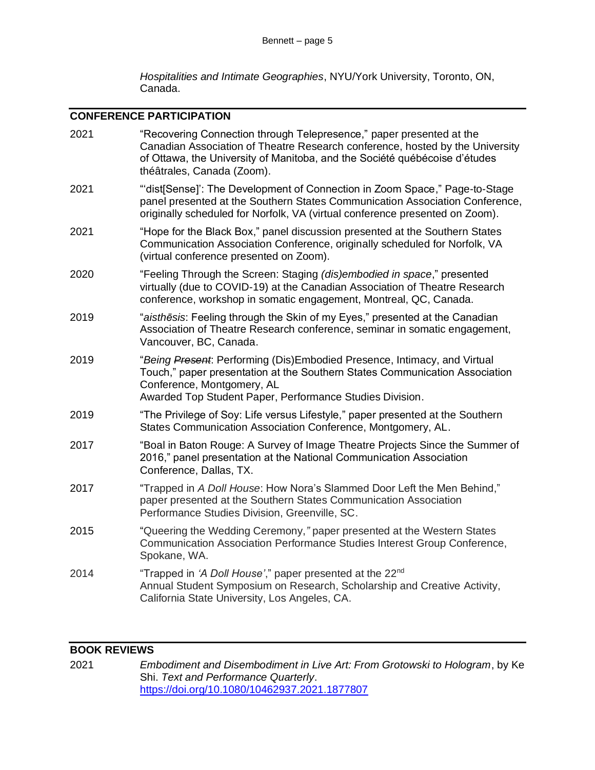*Hospitalities and Intimate Geographies*, NYU/York University, Toronto, ON, Canada.

# **CONFERENCE PARTICIPATION**

| 2021 | "Recovering Connection through Telepresence," paper presented at the<br>Canadian Association of Theatre Research conference, hosted by the University<br>of Ottawa, the University of Manitoba, and the Société québécoise d'études<br>théâtrales, Canada (Zoom). |
|------|-------------------------------------------------------------------------------------------------------------------------------------------------------------------------------------------------------------------------------------------------------------------|
| 2021 | "'dist[Sense]': The Development of Connection in Zoom Space," Page-to-Stage<br>panel presented at the Southern States Communication Association Conference,<br>originally scheduled for Norfolk, VA (virtual conference presented on Zoom).                       |
| 2021 | "Hope for the Black Box," panel discussion presented at the Southern States<br>Communication Association Conference, originally scheduled for Norfolk, VA<br>(virtual conference presented on Zoom).                                                              |
| 2020 | "Feeling Through the Screen: Staging (dis)embodied in space," presented<br>virtually (due to COVID-19) at the Canadian Association of Theatre Research<br>conference, workshop in somatic engagement, Montreal, QC, Canada.                                       |
| 2019 | "aisthesis: Feeling through the Skin of my Eyes," presented at the Canadian<br>Association of Theatre Research conference, seminar in somatic engagement,<br>Vancouver, BC, Canada.                                                                               |
| 2019 | "Being Present: Performing (Dis)Embodied Presence, Intimacy, and Virtual<br>Touch," paper presentation at the Southern States Communication Association<br>Conference, Montgomery, AL<br>Awarded Top Student Paper, Performance Studies Division.                 |
| 2019 | "The Privilege of Soy: Life versus Lifestyle," paper presented at the Southern<br>States Communication Association Conference, Montgomery, AL.                                                                                                                    |
| 2017 | "Boal in Baton Rouge: A Survey of Image Theatre Projects Since the Summer of<br>2016," panel presentation at the National Communication Association<br>Conference, Dallas, TX.                                                                                    |
| 2017 | "Trapped in A Doll House: How Nora's Slammed Door Left the Men Behind,"<br>paper presented at the Southern States Communication Association<br>Performance Studies Division, Greenville, SC.                                                                      |
| 2015 | "Queering the Wedding Ceremony," paper presented at the Western States<br>Communication Association Performance Studies Interest Group Conference,<br>Spokane, WA.                                                                                                |
| 2014 | "Trapped in 'A Doll House'," paper presented at the 22 <sup>nd</sup><br>Annual Student Symposium on Research, Scholarship and Creative Activity,<br>California State University, Los Angeles, CA.                                                                 |
|      |                                                                                                                                                                                                                                                                   |

# **BOOK REVIEWS**

2021 *Embodiment and Disembodiment in Live Art: From Grotowski to Hologram*, by Ke Shi. *Text and Performance Quarterly*. <https://doi.org/10.1080/10462937.2021.1877807>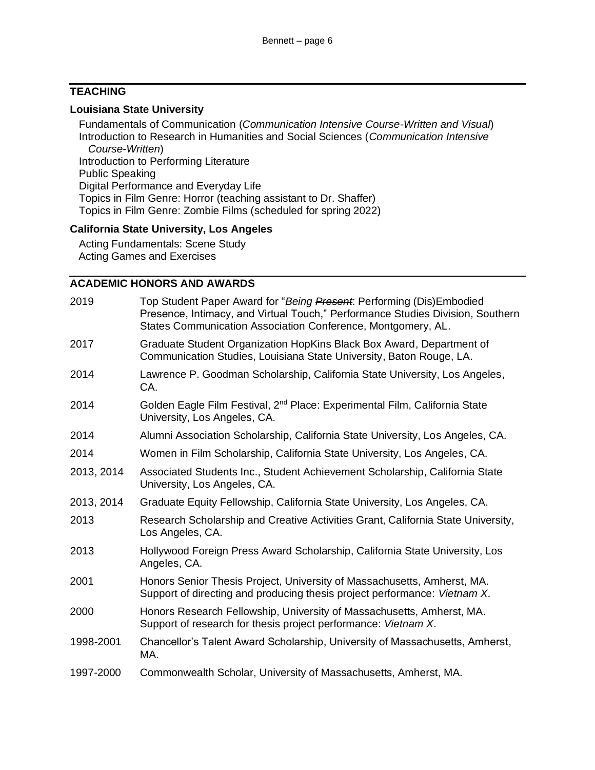# **TEACHING**

#### **Louisiana State University**

Fundamentals of Communication (*Communication Intensive Course-Written and Visual*) Introduction to Research in Humanities and Social Sciences (*Communication Intensive Course-Written*) Introduction to Performing Literature Public Speaking Digital Performance and Everyday Life Topics in Film Genre: Horror (teaching assistant to Dr. Shaffer) Topics in Film Genre: Zombie Films (scheduled for spring 2022)

### **California State University, Los Angeles**

Acting Fundamentals: Scene Study Acting Games and Exercises

#### **ACADEMIC HONORS AND AWARDS**

| 2019       | Top Student Paper Award for "Being Present: Performing (Dis)Embodied<br>Presence, Intimacy, and Virtual Touch," Performance Studies Division, Southern<br>States Communication Association Conference, Montgomery, AL. |
|------------|------------------------------------------------------------------------------------------------------------------------------------------------------------------------------------------------------------------------|
| 2017       | Graduate Student Organization HopKins Black Box Award, Department of<br>Communication Studies, Louisiana State University, Baton Rouge, LA.                                                                            |
| 2014       | Lawrence P. Goodman Scholarship, California State University, Los Angeles,<br>CA.                                                                                                                                      |
| 2014       | Golden Eagle Film Festival, 2 <sup>nd</sup> Place: Experimental Film, California State<br>University, Los Angeles, CA.                                                                                                 |
| 2014       | Alumni Association Scholarship, California State University, Los Angeles, CA.                                                                                                                                          |
| 2014       | Women in Film Scholarship, California State University, Los Angeles, CA.                                                                                                                                               |
| 2013, 2014 | Associated Students Inc., Student Achievement Scholarship, California State<br>University, Los Angeles, CA.                                                                                                            |
| 2013, 2014 | Graduate Equity Fellowship, California State University, Los Angeles, CA.                                                                                                                                              |
| 2013       | Research Scholarship and Creative Activities Grant, California State University,<br>Los Angeles, CA.                                                                                                                   |
| 2013       | Hollywood Foreign Press Award Scholarship, California State University, Los<br>Angeles, CA.                                                                                                                            |
| 2001       | Honors Senior Thesis Project, University of Massachusetts, Amherst, MA.<br>Support of directing and producing thesis project performance: Vietnam X.                                                                   |
| 2000       | Honors Research Fellowship, University of Massachusetts, Amherst, MA.<br>Support of research for thesis project performance: Vietnam X.                                                                                |
| 1998-2001  | Chancellor's Talent Award Scholarship, University of Massachusetts, Amherst,<br>MA.                                                                                                                                    |
| 1997-2000  | Commonwealth Scholar, University of Massachusetts, Amherst, MA.                                                                                                                                                        |
|            |                                                                                                                                                                                                                        |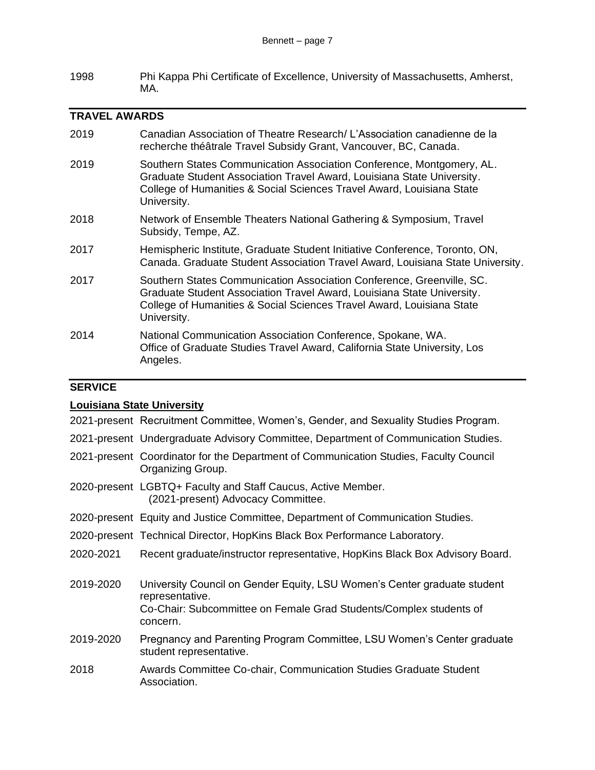1998 Phi Kappa Phi Certificate of Excellence, University of Massachusetts, Amherst, MA.

### **TRAVEL AWARDS**

- 2019 Canadian Association of Theatre Research/ L'Association canadienne de la recherche théâtrale Travel Subsidy Grant, Vancouver, BC, Canada. 2019 Southern States Communication Association Conference, Montgomery, AL. Graduate Student Association Travel Award, Louisiana State University. College of Humanities & Social Sciences Travel Award, Louisiana State University. 2018 Network of Ensemble Theaters National Gathering & Symposium, Travel Subsidy, Tempe, AZ. 2017 Hemispheric Institute, Graduate Student Initiative Conference, Toronto, ON, Canada. Graduate Student Association Travel Award, Louisiana State University.
- 2017 Southern States Communication Association Conference, Greenville, SC. Graduate Student Association Travel Award, Louisiana State University. College of Humanities & Social Sciences Travel Award, Louisiana State University.
- 2014 National Communication Association Conference, Spokane, WA. Office of Graduate Studies Travel Award, California State University, Los Angeles.

## **SERVICE**

### **Louisiana State University**

- 2021-present Recruitment Committee, Women's, Gender, and Sexuality Studies Program.
- 2021-present Undergraduate Advisory Committee, Department of Communication Studies.
- 2021-present Coordinator for the Department of Communication Studies, Faculty Council Organizing Group.
- 2020-present LGBTQ+ Faculty and Staff Caucus, Active Member. (2021-present) Advocacy Committee.
- 2020-present Equity and Justice Committee, Department of Communication Studies.
- 2020-present Technical Director, HopKins Black Box Performance Laboratory.
- 2020-2021 Recent graduate/instructor representative, HopKins Black Box Advisory Board.
- 2019-2020 University Council on Gender Equity, LSU Women's Center graduate student representative. Co-Chair: Subcommittee on Female Grad Students/Complex students of concern.
- 2019-2020 Pregnancy and Parenting Program Committee, LSU Women's Center graduate student representative.
- 2018 Awards Committee Co-chair, Communication Studies Graduate Student Association.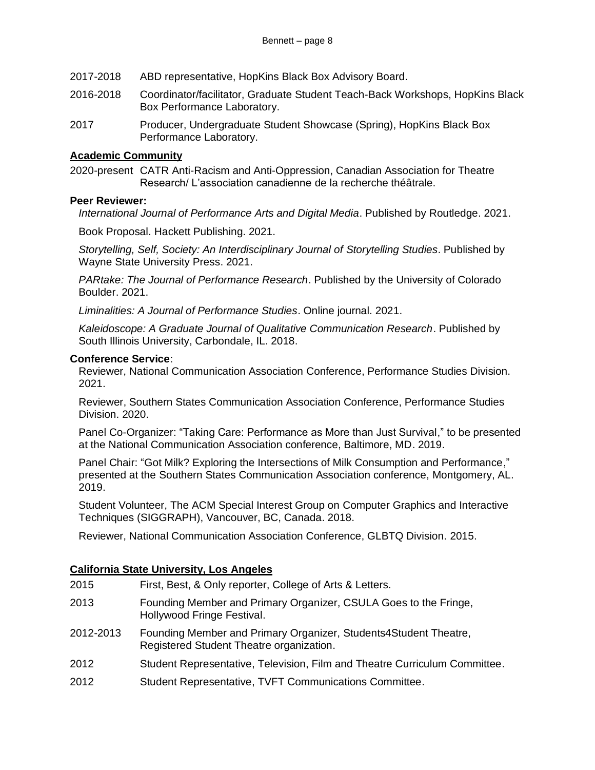- 2017-2018 ABD representative, HopKins Black Box Advisory Board.
- 2016-2018 Coordinator/facilitator, Graduate Student Teach-Back Workshops, HopKins Black Box Performance Laboratory.
- 2017 Producer, Undergraduate Student Showcase (Spring), HopKins Black Box Performance Laboratory.

#### **Academic Community**

2020-present CATR Anti-Racism and Anti-Oppression, Canadian Association for Theatre Research/ L'association canadienne de la recherche théâtrale.

#### **Peer Reviewer:**

*International Journal of Performance Arts and Digital Media*. Published by Routledge. 2021.

Book Proposal. Hackett Publishing. 2021.

*Storytelling, Self, Society: An Interdisciplinary Journal of Storytelling Studies*. Published by Wayne State University Press. 2021.

*PARtake: The Journal of Performance Research*. Published by the University of Colorado Boulder. 2021.

*Liminalities: A Journal of Performance Studies*. Online journal. 2021.

*Kaleidoscope: A Graduate Journal of Qualitative Communication Research*. Published by South Illinois University, Carbondale, IL. 2018.

#### **Conference Service**:

Reviewer, National Communication Association Conference, Performance Studies Division. 2021.

Reviewer, Southern States Communication Association Conference, Performance Studies Division. 2020.

Panel Co-Organizer: "Taking Care: Performance as More than Just Survival," to be presented at the National Communication Association conference, Baltimore, MD. 2019.

Panel Chair: "Got Milk? Exploring the Intersections of Milk Consumption and Performance," presented at the Southern States Communication Association conference, Montgomery, AL. 2019.

Student Volunteer, The ACM Special Interest Group on Computer Graphics and Interactive Techniques (SIGGRAPH), Vancouver, BC, Canada. 2018.

Reviewer, National Communication Association Conference, GLBTQ Division. 2015.

### **California State University, Los Angeles**

| 2015 | First, Best, & Only reporter, College of Arts & Letters.         |
|------|------------------------------------------------------------------|
| 2013 | Founding Member and Primary Organizer, CSULA Goes to the Fringe, |

- Hollywood Fringe Festival.
- 2012-2013 Founding Member and Primary Organizer, Students4Student Theatre, Registered Student Theatre organization.
- 2012 Student Representative, Television, Film and Theatre Curriculum Committee.
- 2012 Student Representative, TVFT Communications Committee.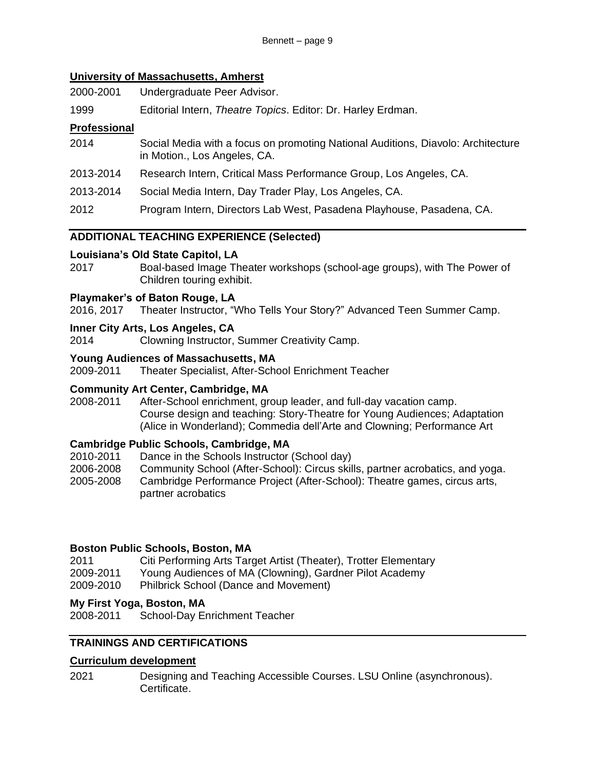### **University of Massachusetts, Amherst**

2000-2001 Undergraduate Peer Advisor.

1999 Editorial Intern, *Theatre Topics*. Editor: Dr. Harley Erdman.

# **Professional**

- 2014 Social Media with a focus on promoting National Auditions, Diavolo: Architecture in Motion., Los Angeles, CA.
- 2013-2014 Research Intern, Critical Mass Performance Group, Los Angeles, CA.
- 2013-2014 Social Media Intern, Day Trader Play, Los Angeles, CA.
- 2012 Program Intern, Directors Lab West, Pasadena Playhouse, Pasadena, CA.

# **ADDITIONAL TEACHING EXPERIENCE (Selected)**

# **Louisiana's Old State Capitol, LA**

2017 Boal-based Image Theater workshops (school-age groups), with The Power of Children touring exhibit.

# **Playmaker's of Baton Rouge, LA**

2016, 2017 Theater Instructor, "Who Tells Your Story?" Advanced Teen Summer Camp.

# **Inner City Arts, Los Angeles, CA**

2014 Clowning Instructor, Summer Creativity Camp.

# **Young Audiences of Massachusetts, MA**

2009-2011 Theater Specialist, After-School Enrichment Teacher

### **Community Art Center, Cambridge, MA**

2008-2011 After-School enrichment, group leader, and full-day vacation camp. Course design and teaching: Story-Theatre for Young Audiences; Adaptation (Alice in Wonderland); Commedia dell'Arte and Clowning; Performance Art

# **Cambridge Public Schools, Cambridge, MA**

- 2010-2011 Dance in the Schools Instructor (School day)
- 2006-2008 Community School (After-School): Circus skills, partner acrobatics, and yoga.
- 2005-2008 Cambridge Performance Project (After-School): Theatre games, circus arts, partner acrobatics

# **Boston Public Schools, Boston, MA**

2011 Citi Performing Arts Target Artist (Theater), Trotter Elementary 2009-2011 Young Audiences of MA (Clowning), Gardner Pilot Academy 2009-2010 Philbrick School (Dance and Movement)

# **My First Yoga, Boston, MA**

2008-2011 School-Day Enrichment Teacher

# **TRAININGS AND CERTIFICATIONS**

### **Curriculum development**

2021 Designing and Teaching Accessible Courses. LSU Online (asynchronous). Certificate.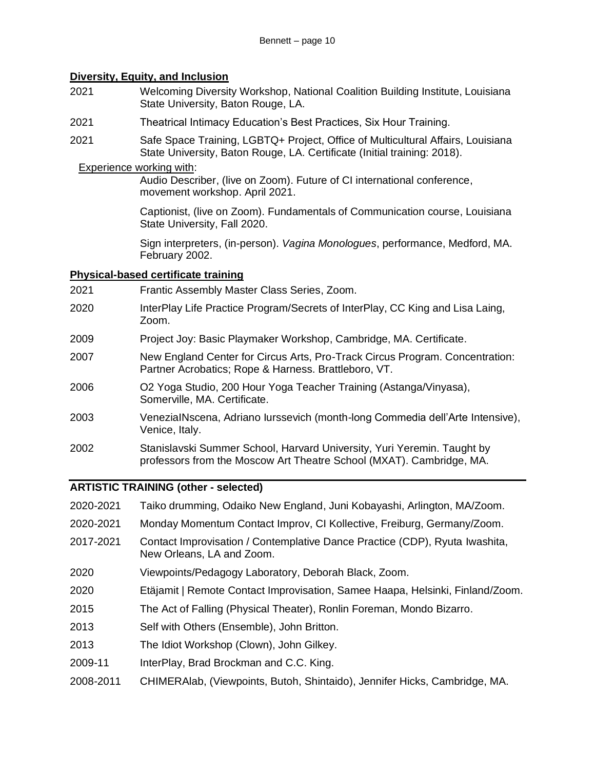# **Diversity, Equity, and Inclusion**

- 2021 Welcoming Diversity Workshop, National Coalition Building Institute, Louisiana State University, Baton Rouge, LA.
- 2021 Theatrical Intimacy Education's Best Practices, Six Hour Training.
- 2021 Safe Space Training, LGBTQ+ Project, Office of Multicultural Affairs, Louisiana State University, Baton Rouge, LA. Certificate (Initial training: 2018).

### Experience working with:

Audio Describer, (live on Zoom). Future of CI international conference, movement workshop. April 2021.

Captionist, (live on Zoom). Fundamentals of Communication course, Louisiana State University, Fall 2020.

Sign interpreters, (in-person). *Vagina Monologues*, performance, Medford, MA. February 2002.

### **Physical-based certificate training**

- 2021 Frantic Assembly Master Class Series, Zoom.
- 2020 InterPlay Life Practice Program/Secrets of InterPlay, CC King and Lisa Laing, Zoom.
- 2009 Project Joy: Basic Playmaker Workshop, Cambridge, MA. Certificate.
- 2007 New England Center for Circus Arts, Pro-Track Circus Program. Concentration: Partner Acrobatics; Rope & Harness. Brattleboro, VT.
- 2006 O2 Yoga Studio, 200 Hour Yoga Teacher Training (Astanga/Vinyasa), Somerville, MA. Certificate.
- 2003 VeneziaINscena, Adriano Iurssevich (month-long Commedia dell'Arte Intensive), Venice, Italy.
- 2002 Stanislavski Summer School, Harvard University, Yuri Yeremin. Taught by professors from the Moscow Art Theatre School (MXAT). Cambridge, MA.

### **ARTISTIC TRAINING (other - selected)**

- 2020-2021 Taiko drumming, Odaiko New England, Juni Kobayashi, Arlington, MA/Zoom.
- 2020-2021 Monday Momentum Contact Improv, CI Kollective, Freiburg, Germany/Zoom.
- 2017-2021 Contact Improvisation / Contemplative Dance Practice (CDP), Ryuta Iwashita, New Orleans, LA and Zoom.
- 2020 Viewpoints/Pedagogy Laboratory, Deborah Black, Zoom.
- 2020 Etäjamit | Remote Contact Improvisation, Samee Haapa, Helsinki, Finland/Zoom.
- 2015 The Act of Falling (Physical Theater), Ronlin Foreman, Mondo Bizarro.
- 2013 Self with Others (Ensemble), John Britton.
- 2013 The Idiot Workshop (Clown), John Gilkey.
- 2009-11 InterPlay, Brad Brockman and C.C. King.
- 2008-2011 CHIMERAlab, (Viewpoints, Butoh, Shintaido), Jennifer Hicks, Cambridge, MA.